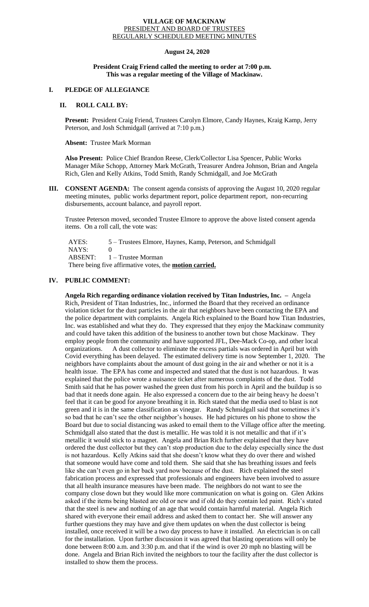#### **VILLAGE OF MACKINAW** PRESIDENT AND BOARD OF TRUSTEES REGULARLY SCHEDULED MEETING MINUTES

# **August 24, 2020**

### **President Craig Friend called the meeting to order at 7:00 p.m. This was a regular meeting of the Village of Mackinaw.**

# **I. PLEDGE OF ALLEGIANCE**

## **II. ROLL CALL BY:**

**Present:** President Craig Friend, Trustees Carolyn Elmore, Candy Haynes, Kraig Kamp, Jerry Peterson, and Josh Schmidgall (arrived at 7:10 p.m.)

#### **Absent:** Trustee Mark Morman

**Also Present:** Police Chief Brandon Reese, Clerk/Collector Lisa Spencer, Public Works Manager Mike Schopp, Attorney Mark McGrath, Treasurer Andrea Johnson, Brian and Angela Rich, Glen and Kelly Atkins, Todd Smith, Randy Schmidgall, and Joe McGrath

**III. CONSENT AGENDA:** The consent agenda consists of approving the August 10, 2020 regular meeting minutes, public works department report, police department report, non-recurring disbursements, account balance, and payroll report.

Trustee Peterson moved, seconded Trustee Elmore to approve the above listed consent agenda items. On a roll call, the vote was:

 AYES: 5 – Trustees Elmore, Haynes, Kamp, Peterson, and Schmidgall NAYS: 0 ABSENT: 1 – Trustee Morman There being five affirmative votes, the **motion carried.**

# **IV. PUBLIC COMMENT:**

**Angela Rich regarding ordinance violation received by Titan Industries, Inc. –** Angela Rich, President of Titan Industries, Inc., informed the Board that they received an ordinance violation ticket for the dust particles in the air that neighbors have been contacting the EPA and the police department with complaints. Angela Rich explained to the Board how Titan Industries, Inc. was established and what they do. They expressed that they enjoy the Mackinaw community and could have taken this addition of the business to another town but chose Mackinaw. They employ people from the community and have supported JFL, Dee-Mack Co-op, and other local organizations. A dust collector to eliminate the excess partials was ordered in April but with Covid everything has been delayed. The estimated delivery time is now September 1, 2020. The neighbors have complaints about the amount of dust going in the air and whether or not it is a health issue. The EPA has come and inspected and stated that the dust is not hazardous. It was explained that the police wrote a nuisance ticket after numerous complaints of the dust. Todd Smith said that he has power washed the green dust from his porch in April and the buildup is so bad that it needs done again. He also expressed a concern due to the air being heavy he doesn't feel that it can be good for anyone breathing it in. Rich stated that the media used to blast is not green and it is in the same classification as vinegar. Randy Schmidgall said that sometimes it's so bad that he can't see the other neighbor's houses. He had pictures on his phone to show the Board but due to social distancing was asked to email them to the Village office after the meeting. Schmidgall also stated that the dust is metallic. He was told it is not metallic and that if it's metallic it would stick to a magnet. Angela and Brian Rich further explained that they have ordered the dust collector but they can't stop production due to the delay especially since the dust is not hazardous. Kelly Atkins said that she doesn't know what they do over there and wished that someone would have come and told them. She said that she has breathing issues and feels like she can't even go in her back yard now because of the dust. Rich explained the steel fabrication process and expressed that professionals and engineers have been involved to assure that all health insurance measures have been made. The neighbors do not want to see the company close down but they would like more communication on what is going on. Glen Atkins asked if the items being blasted are old or new and if old do they contain led paint. Rich's stated that the steel is new and nothing of an age that would contain harmful material. Angela Rich shared with everyone their email address and asked them to contact her. She will answer any further questions they may have and give them updates on when the dust collector is being installed, once received it will be a two day process to have it installed. An electrician is on call for the installation. Upon further discussion it was agreed that blasting operations will only be done between 8:00 a.m. and 3:30 p.m. and that if the wind is over 20 mph no blasting will be done. Angela and Brian Rich invited the neighbors to tour the facility after the dust collector is installed to show them the process.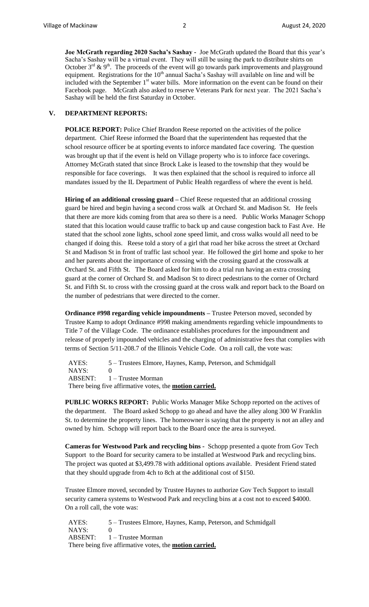**Joe McGrath regarding 2020 Sacha's Sashay -** Joe McGrath updated the Board that this year's Sacha's Sashay will be a virtual event. They will still be using the park to distribute shirts on October  $3^{rd}$  &  $9^{th}$ . The proceeds of the event will go towards park improvements and playground equipment. Registrations for the  $10<sup>th</sup>$  annual Sacha's Sashay will available on line and will be included with the September  $1<sup>st</sup>$  water bills. More information on the event can be found on their Facebook page. McGrath also asked to reserve Veterans Park for next year. The 2021 Sacha's Sashay will be held the first Saturday in October.

#### **V. DEPARTMENT REPORTS:**

**POLICE REPORT:** Police Chief Brandon Reese reported on the activities of the police department. Chief Reese informed the Board that the superintendent has requested that the school resource officer be at sporting events to inforce mandated face covering. The question was brought up that if the event is held on Village property who is to inforce face coverings. Attorney McGrath stated that since Brock Lake is leased to the township that they would be responsible for face coverings. It was then explained that the school is required to inforce all mandates issued by the IL Department of Public Health regardless of where the event is held.

**Hiring of an additional crossing guard –** Chief Reese requested that an additional crossing guard be hired and begin having a second cross walk at Orchard St. and Madison St. He feels that there are more kids coming from that area so there is a need. Public Works Manager Schopp stated that this location would cause traffic to back up and cause congestion back to Fast Ave. He stated that the school zone lights, school zone speed limit, and cross walks would all need to be changed if doing this. Reese told a story of a girl that road her bike across the street at Orchard St and Madison St in front of traffic last school year. He followed the girl home and spoke to her and her parents about the importance of crossing with the crossing guard at the crosswalk at Orchard St. and Fifth St. The Board asked for him to do a trial run having an extra crossing guard at the corner of Orchard St. and Madison St to direct pedestrians to the corner of Orchard St. and Fifth St. to cross with the crossing guard at the cross walk and report back to the Board on the number of pedestrians that were directed to the corner.

**Ordinance #998 regarding vehicle impoundments –** Trustee Peterson moved, seconded by Trustee Kamp to adopt Ordinance #998 making amendments regarding vehicle impoundments to Title 7 of the Village Code. The ordinance establishes procedures for the impoundment and release of properly impounded vehicles and the charging of administrative fees that complies with terms of Section 5/11-208.7 of the Illinois Vehicle Code. On a roll call, the vote was:

AYES: 5 – Trustees Elmore, Haynes, Kamp, Peterson, and Schmidgall NAYS: 0 ABSENT: 1 – Trustee Morman There being five affirmative votes, the **motion carried.**

**PUBLIC WORKS REPORT:** Public Works Manager Mike Schopp reported on the actives of the department. The Board asked Schopp to go ahead and have the alley along 300 W Franklin St. to determine the property lines. The homeowner is saying that the property is not an alley and owned by him. Schopp will report back to the Board once the area is surveyed.

**Cameras for Westwood Park and recycling bins -** Schopp presented a quote from Gov Tech Support to the Board for security camera to be installed at Westwood Park and recycling bins. The project was quoted at \$3,499.78 with additional options available. President Friend stated that they should upgrade from 4ch to 8ch at the additional cost of \$150.

Trustee Elmore moved, seconded by Trustee Haynes to authorize Gov Tech Support to install security camera systems to Westwood Park and recycling bins at a cost not to exceed \$4000. On a roll call, the vote was:

 AYES: 5 – Trustees Elmore, Haynes, Kamp, Peterson, and Schmidgall NAYS: 0 ABSENT: 1 – Trustee Morman There being five affirmative votes, the **motion carried.**